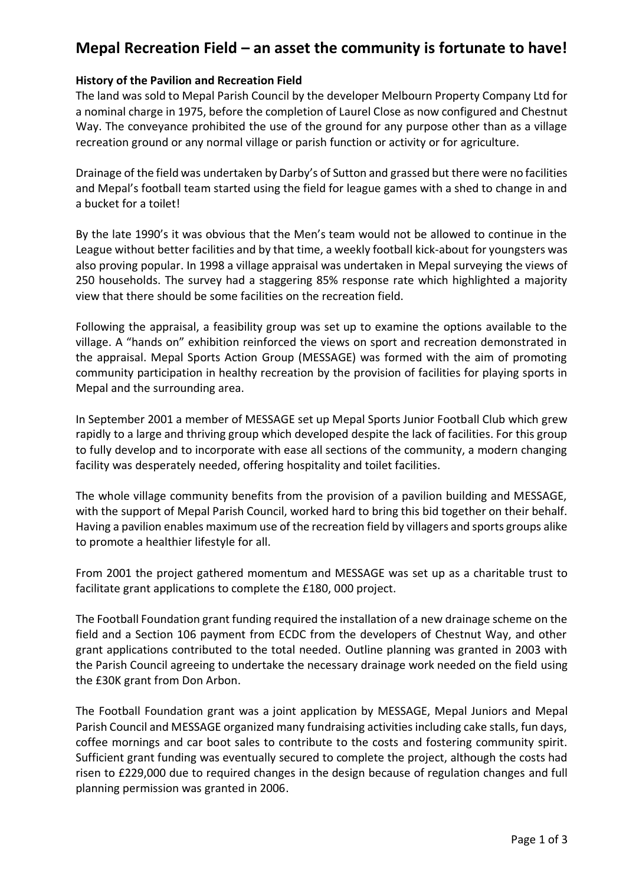# **Mepal Recreation Field – an asset the community is fortunate to have!**

## **History of the Pavilion and Recreation Field**

The land was sold to Mepal Parish Council by the developer Melbourn Property Company Ltd for a nominal charge in 1975, before the completion of Laurel Close as now configured and Chestnut Way. The conveyance prohibited the use of the ground for any purpose other than as a village recreation ground or any normal village or parish function or activity or for agriculture.

Drainage of the field was undertaken by Darby's of Sutton and grassed but there were no facilities and Mepal's football team started using the field for league games with a shed to change in and a bucket for a toilet!

By the late 1990's it was obvious that the Men's team would not be allowed to continue in the League without better facilities and by that time, a weekly football kick-about for youngsters was also proving popular. In 1998 a village appraisal was undertaken in Mepal surveying the views of 250 households. The survey had a staggering 85% response rate which highlighted a majority view that there should be some facilities on the recreation field.

Following the appraisal, a feasibility group was set up to examine the options available to the village. A "hands on" exhibition reinforced the views on sport and recreation demonstrated in the appraisal. Mepal Sports Action Group (MESSAGE) was formed with the aim of promoting community participation in healthy recreation by the provision of facilities for playing sports in Mepal and the surrounding area.

In September 2001 a member of MESSAGE set up Mepal Sports Junior Football Club which grew rapidly to a large and thriving group which developed despite the lack of facilities. For this group to fully develop and to incorporate with ease all sections of the community, a modern changing facility was desperately needed, offering hospitality and toilet facilities.

The whole village community benefits from the provision of a pavilion building and MESSAGE, with the support of Mepal Parish Council, worked hard to bring this bid together on their behalf. Having a pavilion enables maximum use of the recreation field by villagers and sports groups alike to promote a healthier lifestyle for all.

From 2001 the project gathered momentum and MESSAGE was set up as a charitable trust to facilitate grant applications to complete the £180, 000 project.

The Football Foundation grant funding required the installation of a new drainage scheme on the field and a Section 106 payment from ECDC from the developers of Chestnut Way, and other grant applications contributed to the total needed. Outline planning was granted in 2003 with the Parish Council agreeing to undertake the necessary drainage work needed on the field using the £30K grant from Don Arbon.

The Football Foundation grant was a joint application by MESSAGE, Mepal Juniors and Mepal Parish Council and MESSAGE organized many fundraising activities including cake stalls, fun days, coffee mornings and car boot sales to contribute to the costs and fostering community spirit. Sufficient grant funding was eventually secured to complete the project, although the costs had risen to £229,000 due to required changes in the design because of regulation changes and full planning permission was granted in 2006.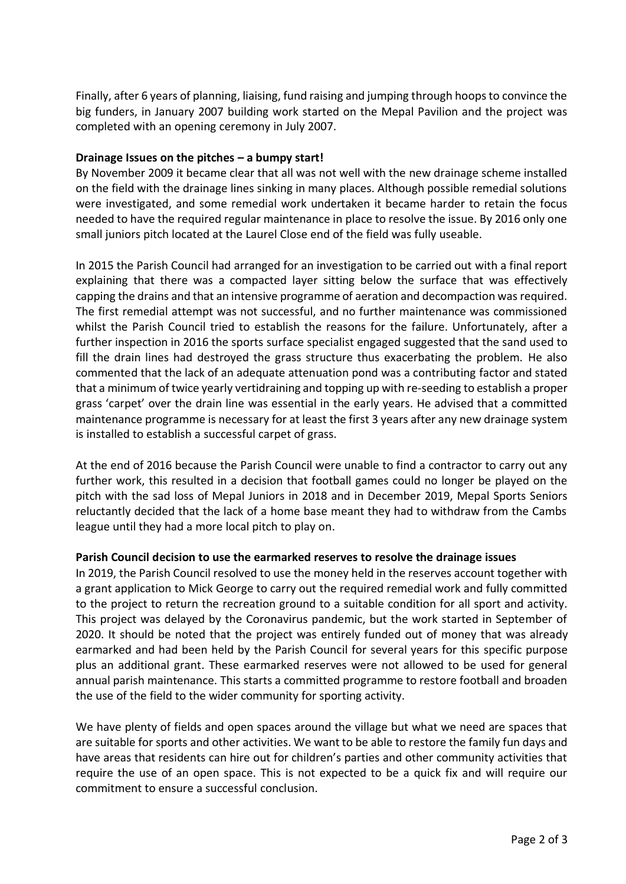Finally, after 6 years of planning, liaising, fund raising and jumping through hoops to convince the big funders, in January 2007 building work started on the Mepal Pavilion and the project was completed with an opening ceremony in July 2007.

## **Drainage Issues on the pitches – a bumpy start!**

By November 2009 it became clear that all was not well with the new drainage scheme installed on the field with the drainage lines sinking in many places. Although possible remedial solutions were investigated, and some remedial work undertaken it became harder to retain the focus needed to have the required regular maintenance in place to resolve the issue. By 2016 only one small juniors pitch located at the Laurel Close end of the field was fully useable.

In 2015 the Parish Council had arranged for an investigation to be carried out with a final report explaining that there was a compacted layer sitting below the surface that was effectively capping the drains and that an intensive programme of aeration and decompaction was required. The first remedial attempt was not successful, and no further maintenance was commissioned whilst the Parish Council tried to establish the reasons for the failure. Unfortunately, after a further inspection in 2016 the sports surface specialist engaged suggested that the sand used to fill the drain lines had destroyed the grass structure thus exacerbating the problem. He also commented that the lack of an adequate attenuation pond was a contributing factor and stated that a minimum of twice yearly vertidraining and topping up with re-seeding to establish a proper grass 'carpet' over the drain line was essential in the early years. He advised that a committed maintenance programme is necessary for at least the first 3 years after any new drainage system is installed to establish a successful carpet of grass.

At the end of 2016 because the Parish Council were unable to find a contractor to carry out any further work, this resulted in a decision that football games could no longer be played on the pitch with the sad loss of Mepal Juniors in 2018 and in December 2019, Mepal Sports Seniors reluctantly decided that the lack of a home base meant they had to withdraw from the Cambs league until they had a more local pitch to play on.

## **Parish Council decision to use the earmarked reserves to resolve the drainage issues**

In 2019, the Parish Council resolved to use the money held in the reserves account together with a grant application to Mick George to carry out the required remedial work and fully committed to the project to return the recreation ground to a suitable condition for all sport and activity. This project was delayed by the Coronavirus pandemic, but the work started in September of 2020. It should be noted that the project was entirely funded out of money that was already earmarked and had been held by the Parish Council for several years for this specific purpose plus an additional grant. These earmarked reserves were not allowed to be used for general annual parish maintenance. This starts a committed programme to restore football and broaden the use of the field to the wider community for sporting activity.

We have plenty of fields and open spaces around the village but what we need are spaces that are suitable for sports and other activities. We want to be able to restore the family fun days and have areas that residents can hire out for children's parties and other community activities that require the use of an open space. This is not expected to be a quick fix and will require our commitment to ensure a successful conclusion.